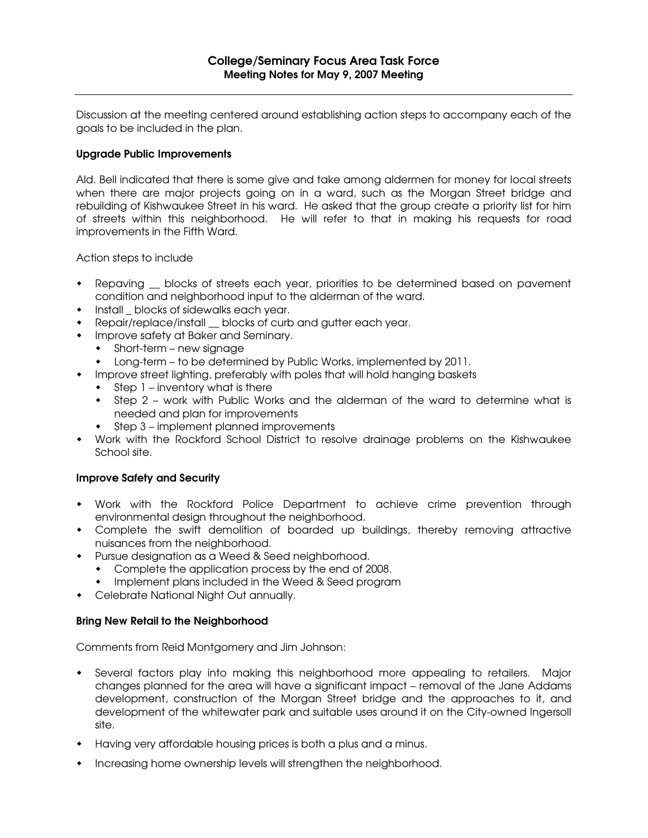Discussion at the meeting centered around establishing action steps to accompany each of the goals to be included in the plan.

## Upgrade Public Improvements

Ald. Bell indicated that there is some give and take among aldermen for money for local streets when there are major projects going on in a ward, such as the Morgan Street bridge and rebuilding of Kishwaukee Street in his ward. He asked that the group create a priority list for him of streets within this neighborhood. He will refer to that in making his requests for road improvements in the Fifth Ward.

Action steps to include

- Repaving \_\_ blocks of streets each year, priorities to be determined based on pavement condition and neighborhood input to the alderman of the ward.
- Install \_ blocks of sidewalks each year.
- Repair/replace/install blocks of curb and gutter each year.
- **•** Improve safety at Baker and Seminary.
	- Short-term new signage
	- Long-term to be determined by Public Works, implemented by 2011.
- Improve street lighting, preferably with poles that will hold hanging baskets
	- $\bullet$  Step 1 inventory what is there
	- Step 2 work with Public Works and the alderman of the ward to determine what is needed and plan for improvements
	- Step 3 implement planned improvements
- Work with the Rockford School District to resolve drainage problems on the Kishwaukee School site.

## Improve Safety and Security

- Work with the Rockford Police Department to achieve crime prevention through environmental design throughout the neighborhood.
- Complete the swift demolition of boarded up buildings, thereby removing attractive nuisances from the neighborhood.
- Pursue designation as a Weed & Seed neighborhood.
	- Complete the application process by the end of 2008.
	- **•** Implement plans included in the Weed & Seed program
- Celebrate National Night Out annually.

## Bring New Retail to the Neighborhood

Comments from Reid Montgomery and Jim Johnson:

- Several factors play into making this neighborhood more appealing to retailers. Major changes planned for the area will have a significant impact – removal of the Jane Addams development, construction of the Morgan Street bridge and the approaches to it, and development of the whitewater park and suitable uses around it on the City-owned Ingersoll site.
- Having very affordable housing prices is both a plus and a minus.
- Increasing home ownership levels will strengthen the neighborhood.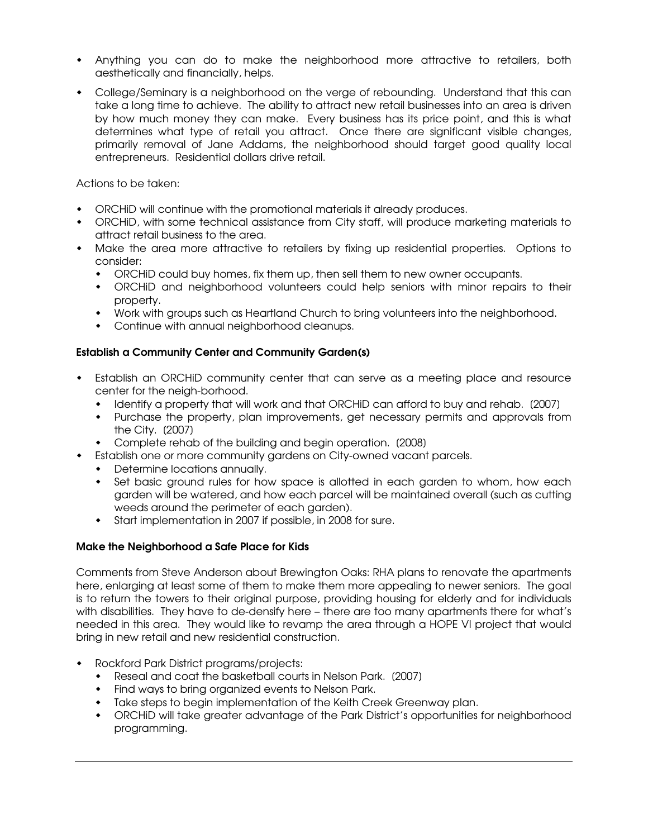- Anything you can do to make the neighborhood more attractive to retailers, both aesthetically and financially, helps.
- College/Seminary is a neighborhood on the verge of rebounding. Understand that this can take a long time to achieve. The ability to attract new retail businesses into an area is driven by how much money they can make. Every business has its price point, and this is what determines what type of retail you attract. Once there are significant visible changes, primarily removal of Jane Addams, the neighborhood should target good quality local entrepreneurs. Residential dollars drive retail.

Actions to be taken:

- ORCHiD will continue with the promotional materials it already produces.
- ORCHiD, with some technical assistance from City staff, will produce marketing materials to attract retail business to the area.
- Make the area more attractive to retailers by fixing up residential properties. Options to consider:
	- ORCHiD could buy homes, fix them up, then sell them to new owner occupants.
	- ORCHiD and neighborhood volunteers could help seniors with minor repairs to their property.
	- Work with groups such as Heartland Church to bring volunteers into the neighborhood.
	- Continue with annual neighborhood cleanups.

## Establish a Community Center and Community Garden(s)

- Establish an ORCHiD community center that can serve as a meeting place and resource center for the neigh-borhood.
	- Identify a property that will work and that ORCHiD can afford to buy and rehab. (2007)
	- Purchase the property, plan improvements, get necessary permits and approvals from the City. [2007]
	- Complete rehab of the building and begin operation. [2008]
- Establish one or more community gardens on City-owned vacant parcels.
	- Determine locations annually.
	- Set basic ground rules for how space is allotted in each garden to whom, how each garden will be watered, and how each parcel will be maintained overall (such as cutting weeds around the perimeter of each garden).
	- Start implementation in 2007 if possible, in 2008 for sure.

## Make the Neighborhood a Safe Place for Kids

Comments from Steve Anderson about Brewington Oaks: RHA plans to renovate the apartments here, enlarging at least some of them to make them more appealing to newer seniors. The goal is to return the towers to their original purpose, providing housing for elderly and for individuals with disabilities. They have to de-densify here – there are too many apartments there for what's needed in this area. They would like to revamp the area through a HOPE VI project that would bring in new retail and new residential construction.

- Rockford Park District programs/projects:
	- Reseal and coat the basketball courts in Nelson Park. [2007]
	- Find ways to bring organized events to Nelson Park.
	- Take steps to begin implementation of the Keith Creek Greenway plan.
	- ORCHiD will take greater advantage of the Park District's opportunities for neighborhood programming.